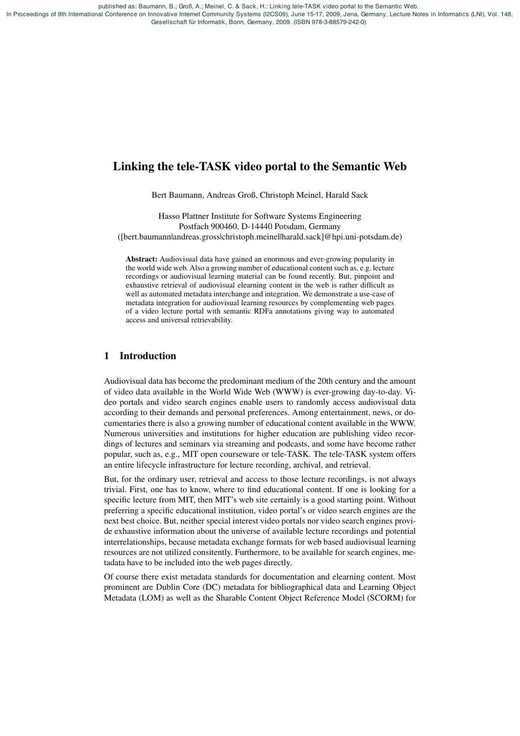published as: Baumann, B.; Groß, A.; Meinel, C. & Sack, H.: Linking tele-TASK video portal to the Semantic Web.

 In Proceedings of 9th International Conference on Innovative Internet Community Systems (I2CS09), June 15-17, 2009, Jena, Germany, Lecture Notes in Informatics (LNI), Vol. 148, Gesellschaft für Informatik, Bonn, Germany, 2009. (ISBN 978-3-88579-242-0)

# Linking the tele-TASK video portal to the Semantic Web

Bert Baumann, Andreas Groß, Christoph Meinel, Harald Sack

Hasso Plattner Institute for Software Systems Engineering Postfach 900460, D-14440 Potsdam, Germany ([bert.baumann|andreas.gross|christoph.meinel|harald.sack]@hpi.uni-potsdam.de)

Abstract: Audiovisual data have gained an enormous and ever-growing popularity in the world wide web. Also a growing number of educational content such as, e.g. lecture recordings or audiovisual learning material can be found recently. But, pinpoint and exhaustive retrieval of audiovisual elearning content in the web is rather difficult as well as automated metadata interchange and integration. We demonstrate a use-case of metadata integration for audiovisual learning resources by complementing web pages of a video lecture portal with semantic RDFa annotations giving way to automated access and universal retrievability.

## 1 Introduction

Audiovisual data has become the predominant medium of the 20th century and the amount of video data available in the World Wide Web (WWW) is ever-growing day-to-day. Video portals and video search engines enable users to randomly access audiovisual data according to their demands and personal preferences. Among entertainment, news, or documentaries there is also a growing number of educational content available in the WWW. Numerous universities and institutions for higher education are publishing video recordings of lectures and seminars via streaming and podcasts, and some have become rather popular, such as, e.g., MIT open courseware or tele-TASK. The tele-TASK system offers an entire lifecycle infrastructure for lecture recording, archival, and retrieval.

But, for the ordinary user, retrieval and access to those lecture recordings, is not always trivial. First, one has to know, where to find educational content. If one is looking for a specific lecture from MIT, then MIT's web site certainly is a good starting point. Without preferring a specific educational institution, video portal's or video search engines are the next best choice. But, neither special interest video portals nor video search engines provide exhaustive information about the universe of available lecture recordings and potential interrelationships, because metadata exchange formats for web based audiovisual learning resources are not utilized consitently. Furthermore, to be available for search engines, metadata have to be included into the web pages directly.

Of course there exist metadata standards for documentation and elearning content. Most prominent are Dublin Core (DC) metadata for bibliographical data and Learning Object Metadata (LOM) as well as the Sharable Content Object Reference Model (SCORM) for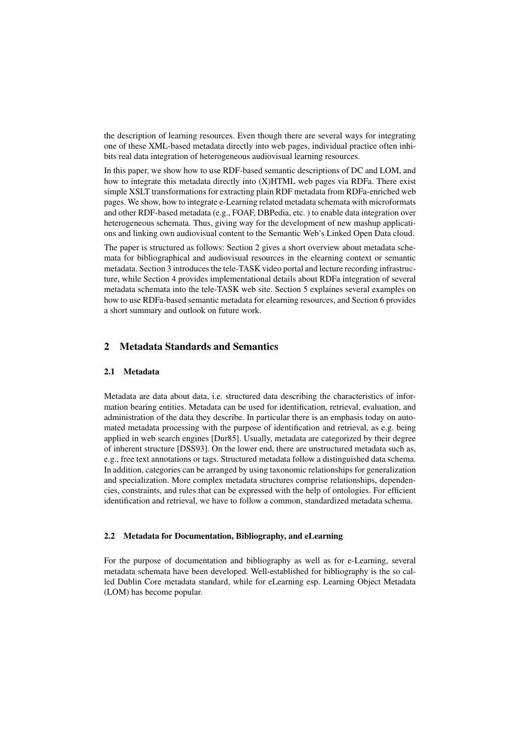the description of learning resources. Even though there are several ways for integrating one of these XML-based metadata directly into web pages, individual practice often inhibits real data integration of heterogeneous audiovisual learning resources.

In this paper, we show how to use RDF-based semantic descriptions of DC and LOM, and how to integrate this metadata directly into (X)HTML web pages via RDFa. There exist simple XSLT transformations for extracting plain RDF metadata from RDFa-enriched web pages. We show, how to integrate e-Learning related metadata schemata with microformats and other RDF-based metadata (e.g., FOAF, DBPedia, etc. ) to enable data integration over heterogeneous schemata. Thus, giving way for the development of new mashup applications and linking own audiovisual content to the Semantic Web's Linked Open Data cloud.

The paper is structured as follows: Section 2 gives a short overview about metadata schemata for bibliographical and audiovisual resources in the elearning context or semantic metadata. Section 3 introduces the tele-TASK video portal and lecture recording infrastructure, while Section 4 provides implementational details about RDFa integration of several metadata schemata into the tele-TASK web site. Section 5 explaines several examples on how to use RDFa-based semantic metadata for elearning resources, and Section 6 provides a short summary and outlook on future work.

## 2 Metadata Standards and Semantics

### 2.1 Metadata

Metadata are data about data, i.e. structured data describing the characteristics of information bearing entities. Metadata can be used for identification, retrieval, evaluation, and administration of the data they describe. In particular there is an emphasis today on automated metadata processing with the purpose of identification and retrieval, as e.g. being applied in web search engines [Dur85]. Usually, metadata are categorized by their degree of inherent structure [DSS93]. On the lower end, there are unstructured metadata such as, e.g., free text annotations or tags. Structured metadata follow a distinguished data schema. In addition, categories can be arranged by using taxonomic relationships for generalization and specialization. More complex metadata structures comprise relationships, dependencies, constraints, and rules that can be expressed with the help of ontologies. For efficient identification and retrieval, we have to follow a common, standardized metadata schema.

#### 2.2 Metadata for Documentation, Bibliography, and eLearning

For the purpose of documentation and bibliography as well as for e-Learning, several metadata schemata have been developed. Well-established for bibliography is the so called Dublin Core metadata standard, while for eLearning esp. Learning Object Metadata (LOM) has become popular.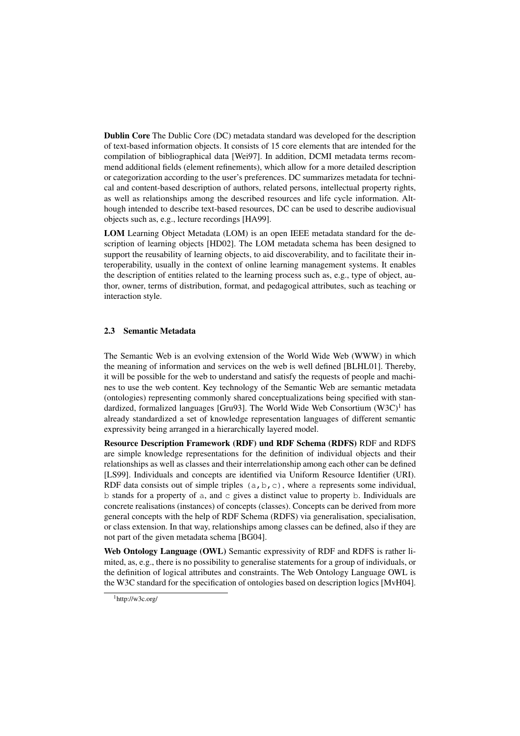Dublin Core The Dublic Core (DC) metadata standard was developed for the description of text-based information objects. It consists of 15 core elements that are intended for the compilation of bibliographical data [Wei97]. In addition, DCMI metadata terms recommend additional fields (element refinements), which allow for a more detailed description or categorization according to the user's preferences. DC summarizes metadata for technical and content-based description of authors, related persons, intellectual property rights, as well as relationships among the described resources and life cycle information. Although intended to describe text-based resources, DC can be used to describe audiovisual objects such as, e.g., lecture recordings [HA99].

LOM Learning Object Metadata (LOM) is an open IEEE metadata standard for the description of learning objects [HD02]. The LOM metadata schema has been designed to support the reusability of learning objects, to aid discoverability, and to facilitate their interoperability, usually in the context of online learning management systems. It enables the description of entities related to the learning process such as, e.g., type of object, author, owner, terms of distribution, format, and pedagogical attributes, such as teaching or interaction style.

# 2.3 Semantic Metadata

The Semantic Web is an evolving extension of the World Wide Web (WWW) in which the meaning of information and services on the web is well defined [BLHL01]. Thereby, it will be possible for the web to understand and satisfy the requests of people and machines to use the web content. Key technology of the Semantic Web are semantic metadata (ontologies) representing commonly shared conceptualizations being specified with standardized, formalized languages [Gru93]. The World Wide Web Consortium  $(W3C)^1$  has already standardized a set of knowledge representation languages of different semantic expressivity being arranged in a hierarchically layered model.

Resource Description Framework (RDF) und RDF Schema (RDFS) RDF and RDFS are simple knowledge representations for the definition of individual objects and their relationships as well as classes and their interrelationship among each other can be defined [LS99]. Individuals and concepts are identified via Uniform Resource Identifier (URI). RDF data consists out of simple triples  $(a, b, c)$ , where a represents some individual, b stands for a property of a, and c gives a distinct value to property b. Individuals are concrete realisations (instances) of concepts (classes). Concepts can be derived from more general concepts with the help of RDF Schema (RDFS) via generalisation, specialisation, or class extension. In that way, relationships among classes can be defined, also if they are not part of the given metadata schema [BG04].

Web Ontology Language (OWL) Semantic expressivity of RDF and RDFS is rather limited, as, e.g., there is no possibility to generalise statements for a group of individuals, or the definition of logical attributes and constraints. The Web Ontology Language OWL is the W3C standard for the specification of ontologies based on description logics [MvH04].

 $1$ http://w3c.org/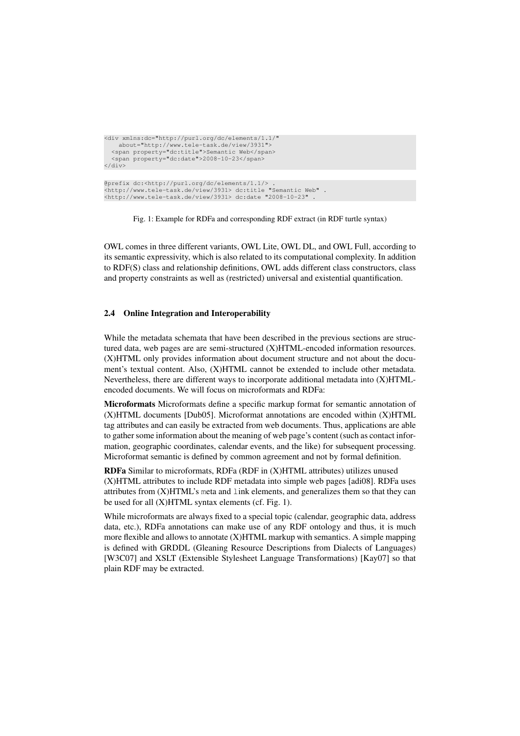```
<div xmlns:dc="http://purl.org/dc/elements/1.1/"
   about="http://www.tele-task.de/view/3931">
  <span property="dc:title">Semantic Web</span>
  <span property="dc:date">2008-10-23</span>
</div>
@prefix dc:<http://purl.org/dc/elements/1.1/> .
<http://www.tele-task.de/view/3931> dc:title "Semantic Web" .
<http://www.tele-task.de/view/3931> dc:date "2008-10-23" .
```
Fig. 1: Example for RDFa and corresponding RDF extract (in RDF turtle syntax)

OWL comes in three different variants, OWL Lite, OWL DL, and OWL Full, according to its semantic expressivity, which is also related to its computational complexity. In addition to RDF(S) class and relationship definitions, OWL adds different class constructors, class and property constraints as well as (restricted) universal and existential quantification.

## 2.4 Online Integration and Interoperability

While the metadata schemata that have been described in the previous sections are structured data, web pages are are semi-structured (X)HTML-encoded information resources. (X)HTML only provides information about document structure and not about the document's textual content. Also, (X)HTML cannot be extended to include other metadata. Nevertheless, there are different ways to incorporate additional metadata into (X)HTMLencoded documents. We will focus on microformats and RDFa:

Microformats Microformats define a specific markup format for semantic annotation of (X)HTML documents [Dub05]. Microformat annotations are encoded within (X)HTML tag attributes and can easily be extracted from web documents. Thus, applications are able to gather some information about the meaning of web page's content (such as contact information, geographic coordinates, calendar events, and the like) for subsequent processing. Microformat semantic is defined by common agreement and not by formal definition.

RDFa Similar to microformats, RDFa (RDF in (X)HTML attributes) utilizes unused (X)HTML attributes to include RDF metadata into simple web pages [adi08]. RDFa uses attributes from (X)HTML's meta and link elements, and generalizes them so that they can be used for all (X)HTML syntax elements (cf. Fig. 1).

While microformats are always fixed to a special topic (calendar, geographic data, address data, etc.), RDFa annotations can make use of any RDF ontology and thus, it is much more flexible and allows to annotate  $(X)$ HTML markup with semantics. A simple mapping is defined with GRDDL (Gleaning Resource Descriptions from Dialects of Languages) [W3C07] and XSLT (Extensible Stylesheet Language Transformations) [Kay07] so that plain RDF may be extracted.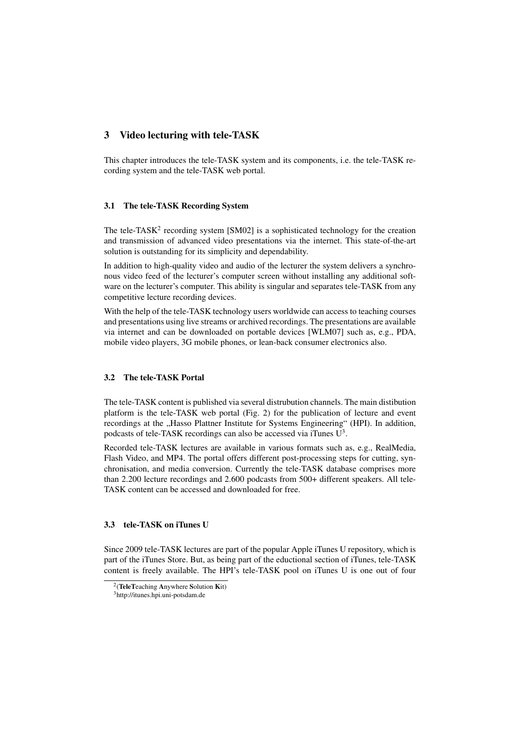# 3 Video lecturing with tele-TASK

This chapter introduces the tele-TASK system and its components, i.e. the tele-TASK recording system and the tele-TASK web portal.

#### 3.1 The tele-TASK Recording System

The tele-TASK<sup>2</sup> recording system  $[SM02]$  is a sophisticated technology for the creation and transmission of advanced video presentations via the internet. This state-of-the-art solution is outstanding for its simplicity and dependability.

In addition to high-quality video and audio of the lecturer the system delivers a synchronous video feed of the lecturer's computer screen without installing any additional software on the lecturer's computer. This ability is singular and separates tele-TASK from any competitive lecture recording devices.

With the help of the tele-TASK technology users worldwide can access to teaching courses and presentations using live streams or archived recordings. The presentations are available via internet and can be downloaded on portable devices [WLM07] such as, e.g., PDA, mobile video players, 3G mobile phones, or lean-back consumer electronics also.

## 3.2 The tele-TASK Portal

The tele-TASK content is published via several distrubution channels. The main distibution platform is the tele-TASK web portal (Fig. 2) for the publication of lecture and event recordings at the "Hasso Plattner Institute for Systems Engineering" (HPI). In addition, podcasts of tele-TASK recordings can also be accessed via iTunes  $U^3$ .

Recorded tele-TASK lectures are available in various formats such as, e.g., RealMedia, Flash Video, and MP4. The portal offers different post-processing steps for cutting, synchronisation, and media conversion. Currently the tele-TASK database comprises more than 2.200 lecture recordings and 2.600 podcasts from 500+ different speakers. All tele-TASK content can be accessed and downloaded for free.

### 3.3 tele-TASK on iTunes U

Since 2009 tele-TASK lectures are part of the popular Apple iTunes U repository, which is part of the iTunes Store. But, as being part of the eductional section of iTunes, tele-TASK content is freely available. The HPI's tele-TASK pool on iTunes U is one out of four

 $2$ (TeleTeaching Anywhere Solution Kit)

<sup>3</sup>http://itunes.hpi.uni-potsdam.de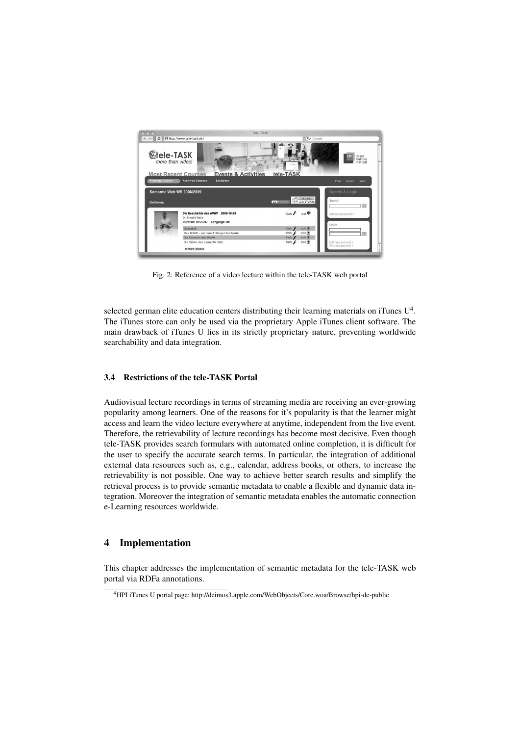

Fig. 2: Reference of a video lecture within the tele-TASK web portal

selected german elite education centers distributing their learning materials on iTunes  $U^4$ . The iTunes store can only be used via the proprietary Apple iTunes client software. The main drawback of iTunes U lies in its strictly proprietary nature, preventing worldwide searchability and data integration.

## 3.4 Restrictions of the tele-TASK Portal

Audiovisual lecture recordings in terms of streaming media are receiving an ever-growing popularity among learners. One of the reasons for it's popularity is that the learner might access and learn the video lecture everywhere at anytime, independent from the live event. Therefore, the retrievability of lecture recordings has become most decisive. Even though tele-TASK provides search formulars with automated online completion, it is difficult for the user to specify the accurate search terms. In particular, the integration of additional external data resources such as, e.g., calendar, address books, or others, to increase the retrievability is not possible. One way to achieve better search results and simplify the retrieval process is to provide semantic metadata to enable a flexible and dynamic data integration. Moreover the integration of semantic metadata enables the automatic connection e-Learning resources worldwide.

# 4 Implementation

This chapter addresses the implementation of semantic metadata for the tele-TASK web portal via RDFa annotations.

<sup>4</sup>HPI iTunes U portal page: http://deimos3.apple.com/WebObjects/Core.woa/Browse/hpi-de-public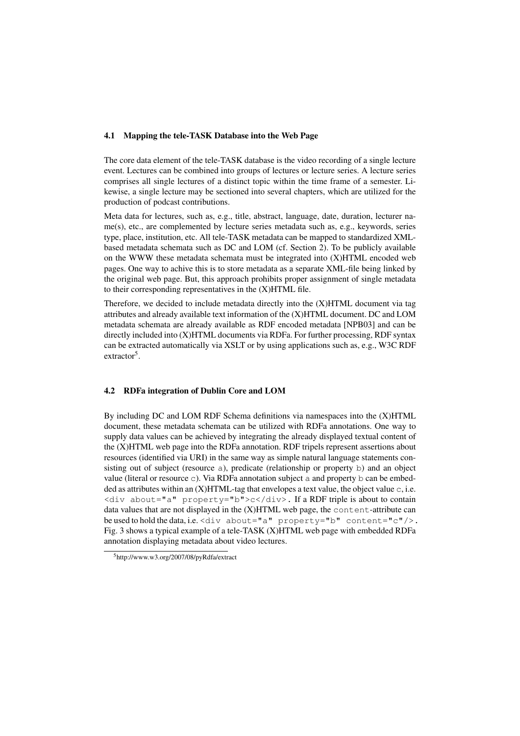#### 4.1 Mapping the tele-TASK Database into the Web Page

The core data element of the tele-TASK database is the video recording of a single lecture event. Lectures can be combined into groups of lectures or lecture series. A lecture series comprises all single lectures of a distinct topic within the time frame of a semester. Likewise, a single lecture may be sectioned into several chapters, which are utilized for the production of podcast contributions.

Meta data for lectures, such as, e.g., title, abstract, language, date, duration, lecturer name(s), etc., are complemented by lecture series metadata such as, e.g., keywords, series type, place, institution, etc. All tele-TASK metadata can be mapped to standardized XMLbased metadata schemata such as DC and LOM (cf. Section 2). To be publicly available on the WWW these metadata schemata must be integrated into  $(X)$ HTML encoded web pages. One way to achive this is to store metadata as a separate XML-file being linked by the original web page. But, this approach prohibits proper assignment of single metadata to their corresponding representatives in the (X)HTML file.

Therefore, we decided to include metadata directly into the (X)HTML document via tag attributes and already available text information of the (X)HTML document. DC and LOM metadata schemata are already available as RDF encoded metadata [NPB03] and can be directly included into (X)HTML documents via RDFa. For further processing, RDF syntax can be extracted automatically via XSLT or by using applications such as, e.g., W3C RDF  $extraction<sup>5</sup>$ .

### 4.2 RDFa integration of Dublin Core and LOM

By including DC and LOM RDF Schema definitions via namespaces into the (X)HTML document, these metadata schemata can be utilized with RDFa annotations. One way to supply data values can be achieved by integrating the already displayed textual content of the (X)HTML web page into the RDFa annotation. RDF tripels represent assertions about resources (identified via URI) in the same way as simple natural language statements consisting out of subject (resource a), predicate (relationship or property b) and an object value (literal or resource c). Via RDFa annotation subject a and property b can be embedded as attributes within an  $(X)$ HTML-tag that envelopes a text value, the object value c, i.e.  $\langle$ div about="a" property="b">c $\langle$ div>. If a RDF triple is about to contain data values that are not displayed in the (X)HTML web page, the content-attribute can be used to hold the data, i.e. <div about="a" property="b" content="c"/>. Fig. 3 shows a typical example of a tele-TASK (X)HTML web page with embedded RDFa annotation displaying metadata about video lectures.

<sup>5</sup>http://www.w3.org/2007/08/pyRdfa/extract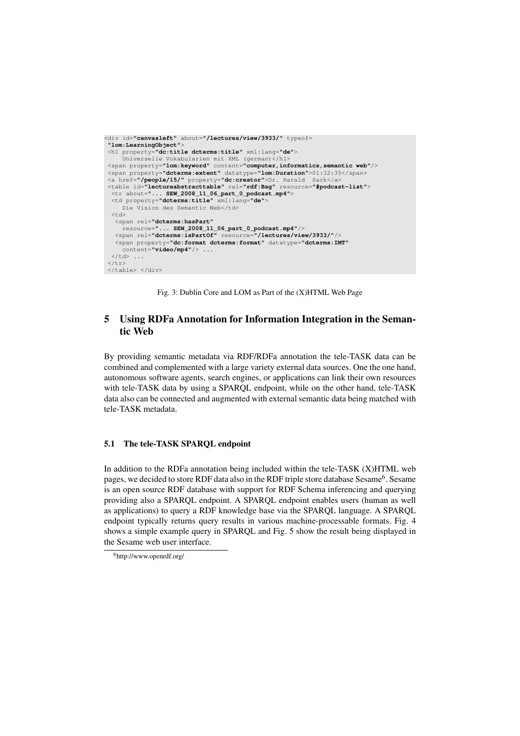```
<div id="canvasleft" about="/lectures/view/3933/" typeof=
 "lom:LearningObject">
 <h1 property="dc:title dcterms:title" xml:lang="de">
     Universelle Vokabularien mit XML (german)</h1>
 <span property="lom:keyword" content="computer,informatics,semantic web"/>
 <span property="dcterms:extent" datatype="lom:Duration">01:32:35</span>
<a href="/people/15/" property="dc:creator">Dr. Harald Sack</a>
 <table id="lectureabstracttable" rel="rdf:Bag" resource="#podcast-list">
  <tr about="... SEW_2008_11_06_part_0_podcast.mp4">
  <td property="dcterms:title" xml:lang="de">
     Die Vision des Semantic Web</td>
  <td>
   <span rel="dcterms:hasPart"
   resource="... SEW_2008_11_06_part_0_podcast.mp4"/>
<span rel="dcterms:isPartOf" resource="/lectures/view/3933/"/>
   <span property="dc:format dcterms:format" datatype="dcterms:IMT"
     content="video/mp4"/> ...
 \langle t \rangle\langle/tr>
</table> </div>
```
Fig. 3: Dublin Core and LOM as Part of the (X)HTML Web Page

# 5 Using RDFa Annotation for Information Integration in the Semantic Web

By providing semantic metadata via RDF/RDFa annotation the tele-TASK data can be combined and complemented with a large variety external data sources. One the one hand, autonomous software agents, search engines, or applications can link their own resources with tele-TASK data by using a SPARQL endpoint, while on the other hand, tele-TASK data also can be connected and augmented with external semantic data being matched with tele-TASK metadata.

# 5.1 The tele-TASK SPARQL endpoint

In addition to the RDFa annotation being included within the tele-TASK (X)HTML web pages, we decided to store RDF data also in the RDF triple store database Sesame<sup>6</sup>. Sesame is an open source RDF database with support for RDF Schema inferencing and querying providing also a SPARQL endpoint. A SPARQL endpoint enables users (human as well as applications) to query a RDF knowledge base via the SPARQL language. A SPARQL endpoint typically returns query results in various machine-processable formats. Fig. 4 shows a simple example query in SPARQL and Fig. 5 show the result being displayed in the Sesame web user interface.

<sup>6</sup>http://www.openrdf.org/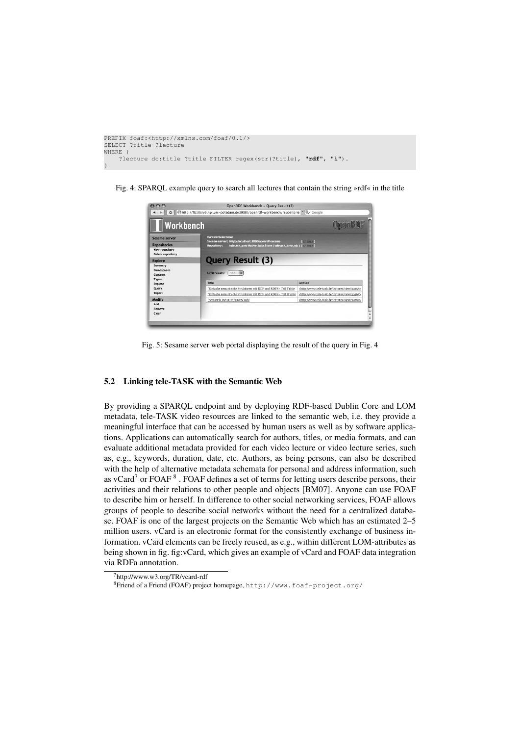```
PREFIX foaf:<http://xmlns.com/foaf/0.1/>
SELECT ?title ?lecture
WHERE {
    ?lecture dc:title ?title FILTER regex(str(?title), "rdf", "i").
}
```
Fig. 4: SPARQL example query to search all lectures that contain the string »rdf« in the title



Fig. 5: Sesame server web portal displaying the result of the query in Fig. 4

## 5.2 Linking tele-TASK with the Semantic Web

By providing a SPARQL endpoint and by deploying RDF-based Dublin Core and LOM metadata, tele-TASK video resources are linked to the semantic web, i.e. they provide a meaningful interface that can be accessed by human users as well as by software applications. Applications can automatically search for authors, titles, or media formats, and can evaluate additional metadata provided for each video lecture or video lecture series, such as, e.g., keywords, duration, date, etc. Authors, as being persons, can also be described with the help of alternative metadata schemata for personal and address information, such as vCard<sup>7</sup> or FOAF  $8$ . FOAF defines a set of terms for letting users describe persons, their activities and their relations to other people and objects [BM07]. Anyone can use FOAF to describe him or herself. In difference to other social networking services, FOAF allows groups of people to describe social networks without the need for a centralized database. FOAF is one of the largest projects on the Semantic Web which has an estimated 2–5 million users. vCard is an electronic format for the consistently exchange of business information. vCard elements can be freely reused, as e.g., within different LOM-attributes as being shown in fig. fig:vCard, which gives an example of vCard and FOAF data integration via RDFa annotation.

<sup>7</sup>http://www.w3.org/TR/vcard-rdf

<sup>8</sup>Friend of a Friend (FOAF) project homepage, http://www.foaf-project.org/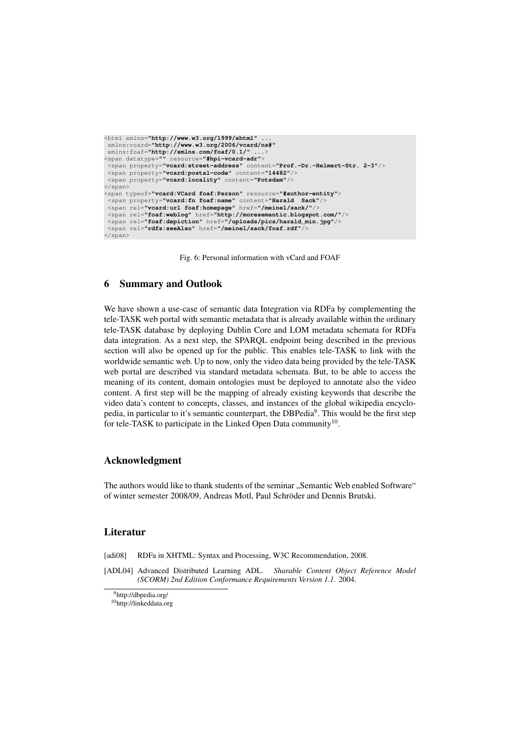```
<html xmlns="http://www.w3.org/1999/xhtml" ...
xmlns:vcard="http://www.w3.org/2006/vcard/ns#"
 xmlns:foaf="http://xmlns.com/foaf/0.1/"
<span datatype="" resource="#hpi-vcard-adr">
 <span property="vcard:street-address" content="Prof.-Dr.-Helmert-Str. 2-3"/>
 <span property="vcard:postal-code" content="14482"/>
 <span property="vcard:locality" content="Potsdam"/>
</span>
<span typeof="vcard:VCard foaf:Person" resource="#author-entity">
 <span property="vcard:fn foaf:name" content="Harald Sack"/><br><span rel="vcard:url foaf:homepage" href="/meinel/sack/"/><br><span rel="foaf:weblog" href="http://moresemantic.blogspot.com/"/>
 <span rel="foaf:depiction" href="/uploads/pics/harald_min.jpg"/>
 <span rel="rdfs:seeAlso" href="/meinel/sack/foaf.rdf"/>
</span>
```
Fig. 6: Personal information with vCard and FOAF

# 6 Summary and Outlook

We have shown a use-case of semantic data Integration via RDFa by complementing the tele-TASK web portal with semantic metadata that is already available within the ordinary tele-TASK database by deploying Dublin Core and LOM metadata schemata for RDFa data integration. As a next step, the SPARQL endpoint being described in the previous section will also be opened up for the public. This enables tele-TASK to link with the worldwide semantic web. Up to now, only the video data being provided by the tele-TASK web portal are described via standard metadata schemata. But, to be able to access the meaning of its content, domain ontologies must be deployed to annotate also the video content. A first step will be the mapping of already existing keywords that describe the video data's content to concepts, classes, and instances of the global wikipedia encyclopedia, in particular to it's semantic counterpart, the DBPedia<sup>9</sup>. This would be the first step for tele-TASK to participate in the Linked Open Data community<sup>10</sup>.

## Acknowledgment

The authors would like to thank students of the seminar ., Semantic Web enabled Software" of winter semester 2008/09, Andreas Motl, Paul Schröder and Dennis Brutski.

# **Literatur**

[adi08] RDFa in XHTML: Syntax and Processing, W3C Recommendation, 2008.

[ADL04] Advanced Distributed Learning ADL. *Sharable Content Object Reference Model (SCORM) 2nd Edition Conformance Requirements Version 1.1*. 2004.

10http://linkeddata.org

<sup>9</sup>http://dbpedia.org/